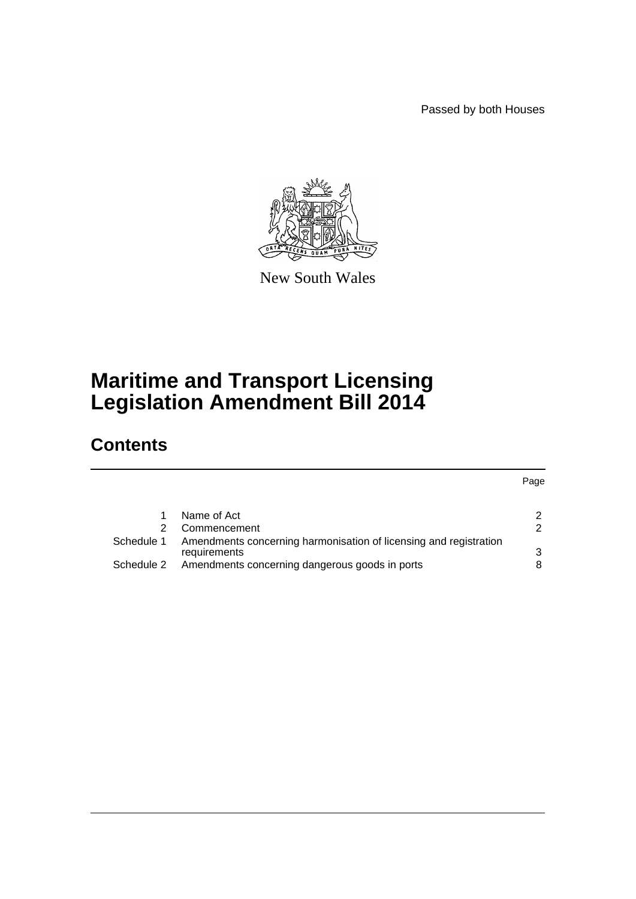Passed by both Houses



New South Wales

# **Maritime and Transport Licensing Legislation Amendment Bill 2014**

# **Contents**

Page

|               | Name of Act                                                                       | 2 |
|---------------|-----------------------------------------------------------------------------------|---|
| $\mathcal{P}$ | Commencement                                                                      | 2 |
| Schedule 1    | Amendments concerning harmonisation of licensing and registration<br>requirements | 3 |
| Schedule 2    | Amendments concerning dangerous goods in ports                                    | 8 |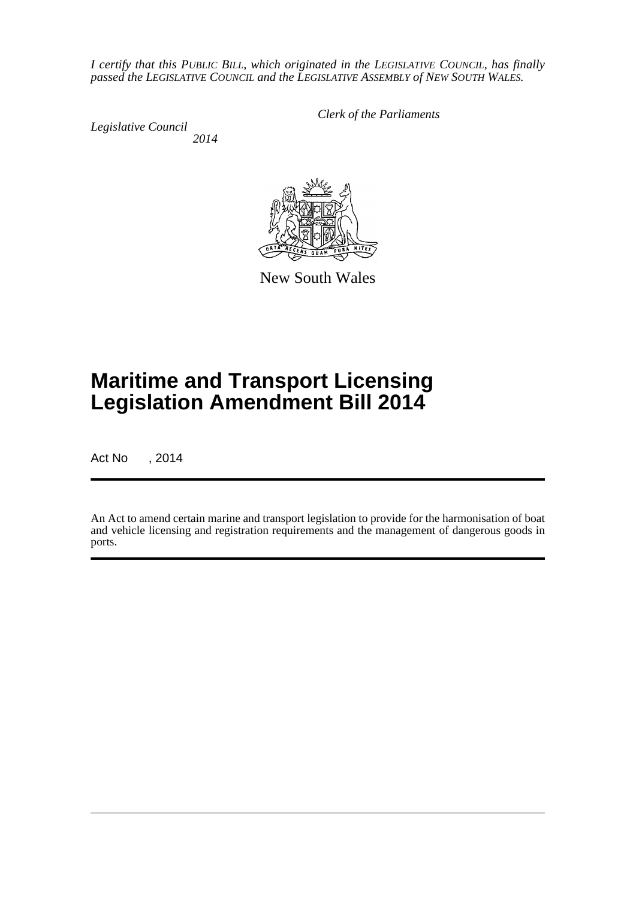*I certify that this PUBLIC BILL, which originated in the LEGISLATIVE COUNCIL, has finally passed the LEGISLATIVE COUNCIL and the LEGISLATIVE ASSEMBLY of NEW SOUTH WALES.*

*Legislative Council 2014* *Clerk of the Parliaments*



New South Wales

# **Maritime and Transport Licensing Legislation Amendment Bill 2014**

Act No , 2014

An Act to amend certain marine and transport legislation to provide for the harmonisation of boat and vehicle licensing and registration requirements and the management of dangerous goods in ports.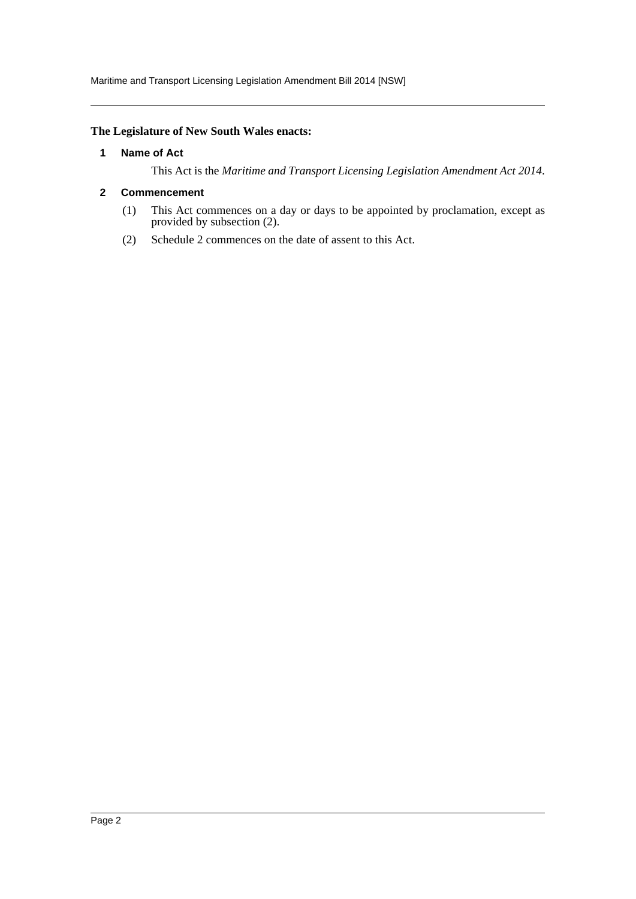## <span id="page-2-0"></span>**The Legislature of New South Wales enacts:**

### **1 Name of Act**

This Act is the *Maritime and Transport Licensing Legislation Amendment Act 2014*.

### <span id="page-2-1"></span>**2 Commencement**

- (1) This Act commences on a day or days to be appointed by proclamation, except as provided by subsection (2).
- (2) Schedule 2 commences on the date of assent to this Act.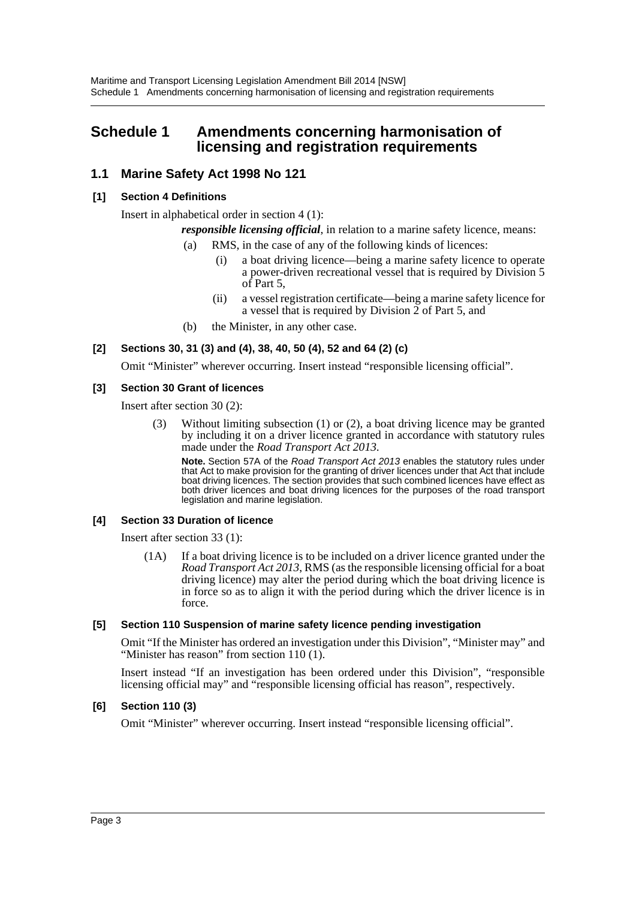# <span id="page-3-0"></span>**Schedule 1 Amendments concerning harmonisation of licensing and registration requirements**

# **1.1 Marine Safety Act 1998 No 121**

## **[1] Section 4 Definitions**

Insert in alphabetical order in section 4 (1):

*responsible licensing official*, in relation to a marine safety licence, means:

- (a) RMS, in the case of any of the following kinds of licences:
	- (i) a boat driving licence—being a marine safety licence to operate a power-driven recreational vessel that is required by Division 5 of Part 5,
	- (ii) a vessel registration certificate—being a marine safety licence for a vessel that is required by Division 2 of Part 5, and
- (b) the Minister, in any other case.

## **[2] Sections 30, 31 (3) and (4), 38, 40, 50 (4), 52 and 64 (2) (c)**

Omit "Minister" wherever occurring. Insert instead "responsible licensing official".

#### **[3] Section 30 Grant of licences**

Insert after section 30 (2):

(3) Without limiting subsection (1) or (2), a boat driving licence may be granted by including it on a driver licence granted in accordance with statutory rules made under the *Road Transport Act 2013*.

**Note.** Section 57A of the *Road Transport Act 2013* enables the statutory rules under that Act to make provision for the granting of driver licences under that Act that include boat driving licences. The section provides that such combined licences have effect as both driver licences and boat driving licences for the purposes of the road transport legislation and marine legislation.

#### **[4] Section 33 Duration of licence**

Insert after section 33 (1):

(1A) If a boat driving licence is to be included on a driver licence granted under the *Road Transport Act 2013*, RMS (as the responsible licensing official for a boat driving licence) may alter the period during which the boat driving licence is in force so as to align it with the period during which the driver licence is in force.

#### **[5] Section 110 Suspension of marine safety licence pending investigation**

Omit "If the Minister has ordered an investigation under this Division", "Minister may" and "Minister has reason" from section 110 (1).

Insert instead "If an investigation has been ordered under this Division", "responsible licensing official may" and "responsible licensing official has reason", respectively.

### **[6] Section 110 (3)**

Omit "Minister" wherever occurring. Insert instead "responsible licensing official".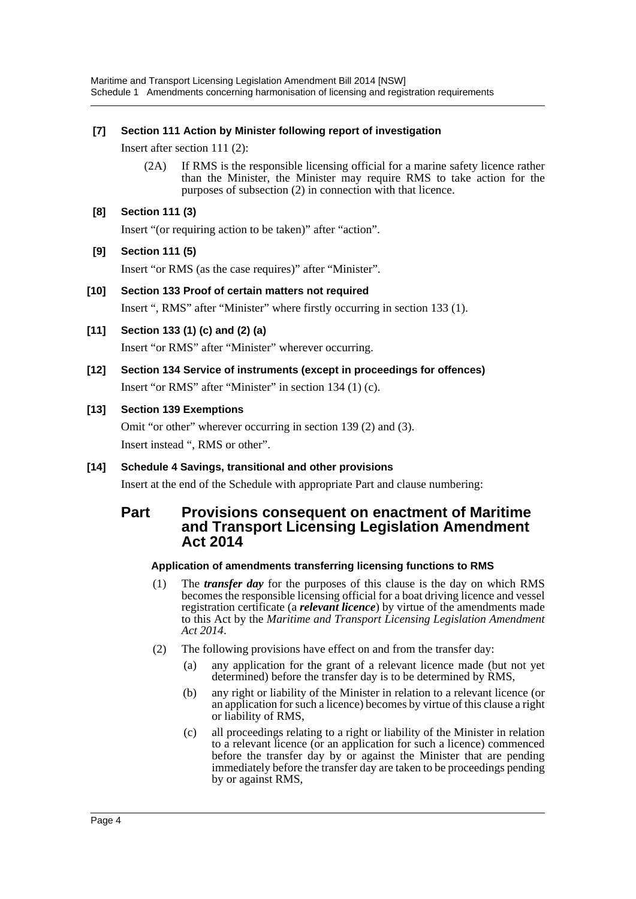## **[7] Section 111 Action by Minister following report of investigation**

Insert after section 111 (2):

(2A) If RMS is the responsible licensing official for a marine safety licence rather than the Minister, the Minister may require RMS to take action for the purposes of subsection (2) in connection with that licence.

## **[8] Section 111 (3)**

Insert "(or requiring action to be taken)" after "action".

# **[9] Section 111 (5)**

Insert "or RMS (as the case requires)" after "Minister".

- **[10] Section 133 Proof of certain matters not required** Insert ", RMS" after "Minister" where firstly occurring in section 133 (1).
- **[11] Section 133 (1) (c) and (2) (a)** Insert "or RMS" after "Minister" wherever occurring.
- **[12] Section 134 Service of instruments (except in proceedings for offences)** Insert "or RMS" after "Minister" in section 134 (1) (c).

# **[13] Section 139 Exemptions**

Omit "or other" wherever occurring in section 139 (2) and (3). Insert instead ", RMS or other".

# **[14] Schedule 4 Savings, transitional and other provisions**

Insert at the end of the Schedule with appropriate Part and clause numbering:

# **Part Provisions consequent on enactment of Maritime and Transport Licensing Legislation Amendment Act 2014**

# **Application of amendments transferring licensing functions to RMS**

- (1) The *transfer day* for the purposes of this clause is the day on which RMS becomes the responsible licensing official for a boat driving licence and vessel registration certificate (a *relevant licence*) by virtue of the amendments made to this Act by the *Maritime and Transport Licensing Legislation Amendment Act 2014*.
- (2) The following provisions have effect on and from the transfer day:
	- (a) any application for the grant of a relevant licence made (but not yet determined) before the transfer day is to be determined by RMS,
	- (b) any right or liability of the Minister in relation to a relevant licence (or an application for such a licence) becomes by virtue of this clause a right or liability of RMS,
	- (c) all proceedings relating to a right or liability of the Minister in relation to a relevant licence (or an application for such a licence) commenced before the transfer day by or against the Minister that are pending immediately before the transfer day are taken to be proceedings pending by or against RMS,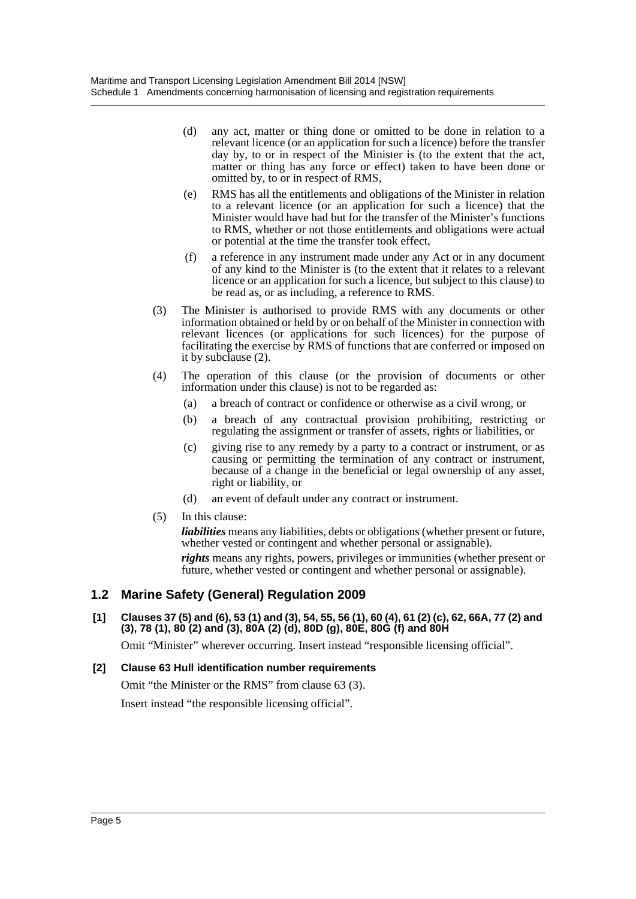- (d) any act, matter or thing done or omitted to be done in relation to a relevant licence (or an application for such a licence) before the transfer day by, to or in respect of the Minister is (to the extent that the act, matter or thing has any force or effect) taken to have been done or omitted by, to or in respect of RMS,
- (e) RMS has all the entitlements and obligations of the Minister in relation to a relevant licence (or an application for such a licence) that the Minister would have had but for the transfer of the Minister's functions to RMS, whether or not those entitlements and obligations were actual or potential at the time the transfer took effect,
- (f) a reference in any instrument made under any Act or in any document of any kind to the Minister is (to the extent that it relates to a relevant licence or an application for such a licence, but subject to this clause) to be read as, or as including, a reference to RMS.
- (3) The Minister is authorised to provide RMS with any documents or other information obtained or held by or on behalf of the Minister in connection with relevant licences (or applications for such licences) for the purpose of facilitating the exercise by RMS of functions that are conferred or imposed on it by subclause (2).
- (4) The operation of this clause (or the provision of documents or other information under this clause) is not to be regarded as:
	- (a) a breach of contract or confidence or otherwise as a civil wrong, or
	- (b) a breach of any contractual provision prohibiting, restricting or regulating the assignment or transfer of assets, rights or liabilities, or
	- (c) giving rise to any remedy by a party to a contract or instrument, or as causing or permitting the termination of any contract or instrument, because of a change in the beneficial or legal ownership of any asset, right or liability, or
	- (d) an event of default under any contract or instrument.
- (5) In this clause:

*liabilities* means any liabilities, debts or obligations (whether present or future, whether vested or contingent and whether personal or assignable). *rights* means any rights, powers, privileges or immunities (whether present or future, whether vested or contingent and whether personal or assignable).

# **1.2 Marine Safety (General) Regulation 2009**

**[1] Clauses 37 (5) and (6), 53 (1) and (3), 54, 55, 56 (1), 60 (4), 61 (2) (c), 62, 66A, 77 (2) and (3), 78 (1), 80 (2) and (3), 80A (2) (d), 80D (g), 80E, 80G (f) and 80H**

Omit "Minister" wherever occurring. Insert instead "responsible licensing official".

## **[2] Clause 63 Hull identification number requirements**

Omit "the Minister or the RMS" from clause 63 (3).

Insert instead "the responsible licensing official".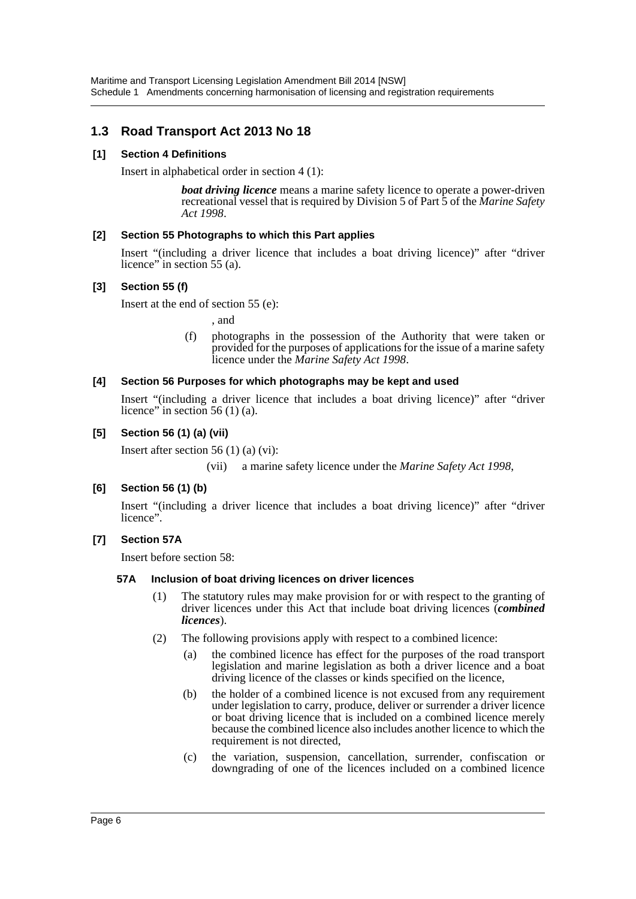# **1.3 Road Transport Act 2013 No 18**

## **[1] Section 4 Definitions**

Insert in alphabetical order in section 4 (1):

*boat driving licence* means a marine safety licence to operate a power-driven recreational vessel that is required by Division 5 of Part 5 of the *Marine Safety Act 1998*.

## **[2] Section 55 Photographs to which this Part applies**

Insert "(including a driver licence that includes a boat driving licence)" after "driver licence" in section 55 (a).

## **[3] Section 55 (f)**

Insert at the end of section 55 (e):

, and

(f) photographs in the possession of the Authority that were taken or provided for the purposes of applications for the issue of a marine safety licence under the *Marine Safety Act 1998*.

## **[4] Section 56 Purposes for which photographs may be kept and used**

Insert "(including a driver licence that includes a boat driving licence)" after "driver licence" in section 56 (1) (a).

## **[5] Section 56 (1) (a) (vii)**

Insert after section 56 (1) (a) (vi):

(vii) a marine safety licence under the *Marine Safety Act 1998*,

## **[6] Section 56 (1) (b)**

Insert "(including a driver licence that includes a boat driving licence)" after "driver licence".

## **[7] Section 57A**

Insert before section 58:

## **57A Inclusion of boat driving licences on driver licences**

- (1) The statutory rules may make provision for or with respect to the granting of driver licences under this Act that include boat driving licences (*combined licences*).
- (2) The following provisions apply with respect to a combined licence:
	- (a) the combined licence has effect for the purposes of the road transport legislation and marine legislation as both a driver licence and a boat driving licence of the classes or kinds specified on the licence,
	- (b) the holder of a combined licence is not excused from any requirement under legislation to carry, produce, deliver or surrender a driver licence or boat driving licence that is included on a combined licence merely because the combined licence also includes another licence to which the requirement is not directed,
	- (c) the variation, suspension, cancellation, surrender, confiscation or downgrading of one of the licences included on a combined licence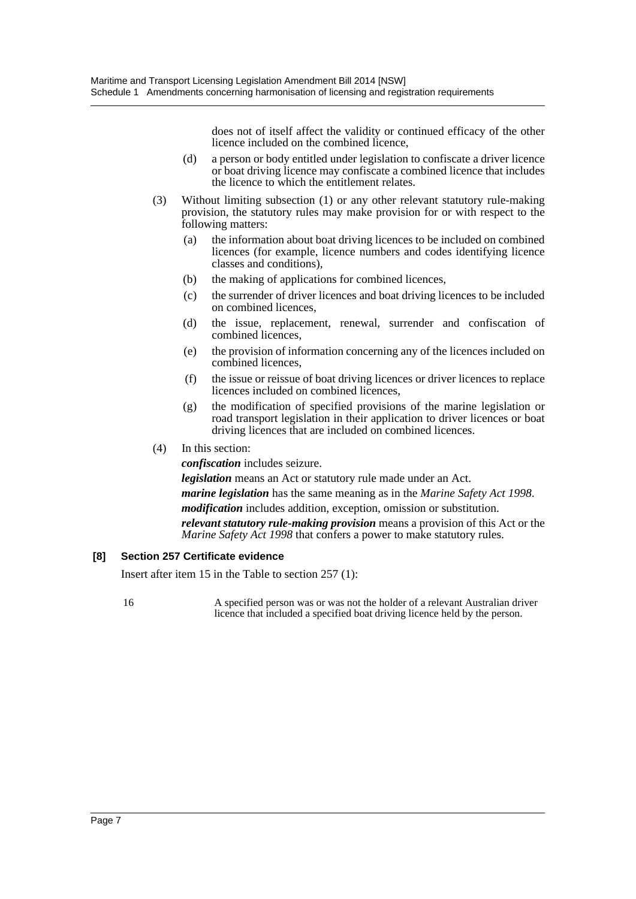does not of itself affect the validity or continued efficacy of the other licence included on the combined licence,

- (d) a person or body entitled under legislation to confiscate a driver licence or boat driving licence may confiscate a combined licence that includes the licence to which the entitlement relates.
- (3) Without limiting subsection (1) or any other relevant statutory rule-making provision, the statutory rules may make provision for or with respect to the following matters:
	- (a) the information about boat driving licences to be included on combined licences (for example, licence numbers and codes identifying licence classes and conditions),
	- (b) the making of applications for combined licences,
	- (c) the surrender of driver licences and boat driving licences to be included on combined licences,
	- (d) the issue, replacement, renewal, surrender and confiscation of combined licences,
	- (e) the provision of information concerning any of the licences included on combined licences,
	- (f) the issue or reissue of boat driving licences or driver licences to replace licences included on combined licences,
	- (g) the modification of specified provisions of the marine legislation or road transport legislation in their application to driver licences or boat driving licences that are included on combined licences.

## (4) In this section:

*confiscation* includes seizure.

*legislation* means an Act or statutory rule made under an Act.

*marine legislation* has the same meaning as in the *Marine Safety Act 1998*. *modification* includes addition, exception, omission or substitution.

*relevant statutory rule-making provision* means a provision of this Act or the *Marine Safety Act 1998* that confers a power to make statutory rules.

#### **[8] Section 257 Certificate evidence**

Insert after item 15 in the Table to section 257 (1):

16 A specified person was or was not the holder of a relevant Australian driver licence that included a specified boat driving licence held by the person.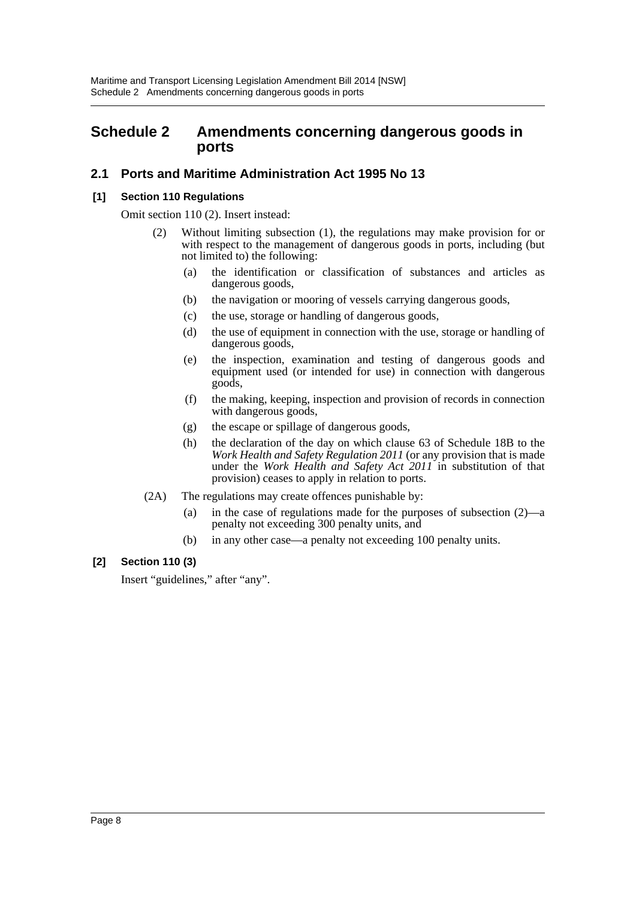# <span id="page-8-0"></span>**Schedule 2 Amendments concerning dangerous goods in ports**

# **2.1 Ports and Maritime Administration Act 1995 No 13**

### **[1] Section 110 Regulations**

Omit section 110 (2). Insert instead:

- (2) Without limiting subsection (1), the regulations may make provision for or with respect to the management of dangerous goods in ports, including (but not limited to) the following:
	- (a) the identification or classification of substances and articles as dangerous goods,
	- (b) the navigation or mooring of vessels carrying dangerous goods,
	- (c) the use, storage or handling of dangerous goods,
	- (d) the use of equipment in connection with the use, storage or handling of dangerous goods,
	- (e) the inspection, examination and testing of dangerous goods and equipment used (or intended for use) in connection with dangerous goods,
	- (f) the making, keeping, inspection and provision of records in connection with dangerous goods,
	- (g) the escape or spillage of dangerous goods,
	- (h) the declaration of the day on which clause 63 of Schedule 18B to the *Work Health and Safety Regulation 2011* (or any provision that is made under the *Work Health and Safety Act 2011* in substitution of that provision) ceases to apply in relation to ports.
- (2A) The regulations may create offences punishable by:
	- (a) in the case of regulations made for the purposes of subsection (2)—a penalty not exceeding 300 penalty units, and
	- (b) in any other case—a penalty not exceeding 100 penalty units.

## **[2] Section 110 (3)**

Insert "guidelines," after "any".